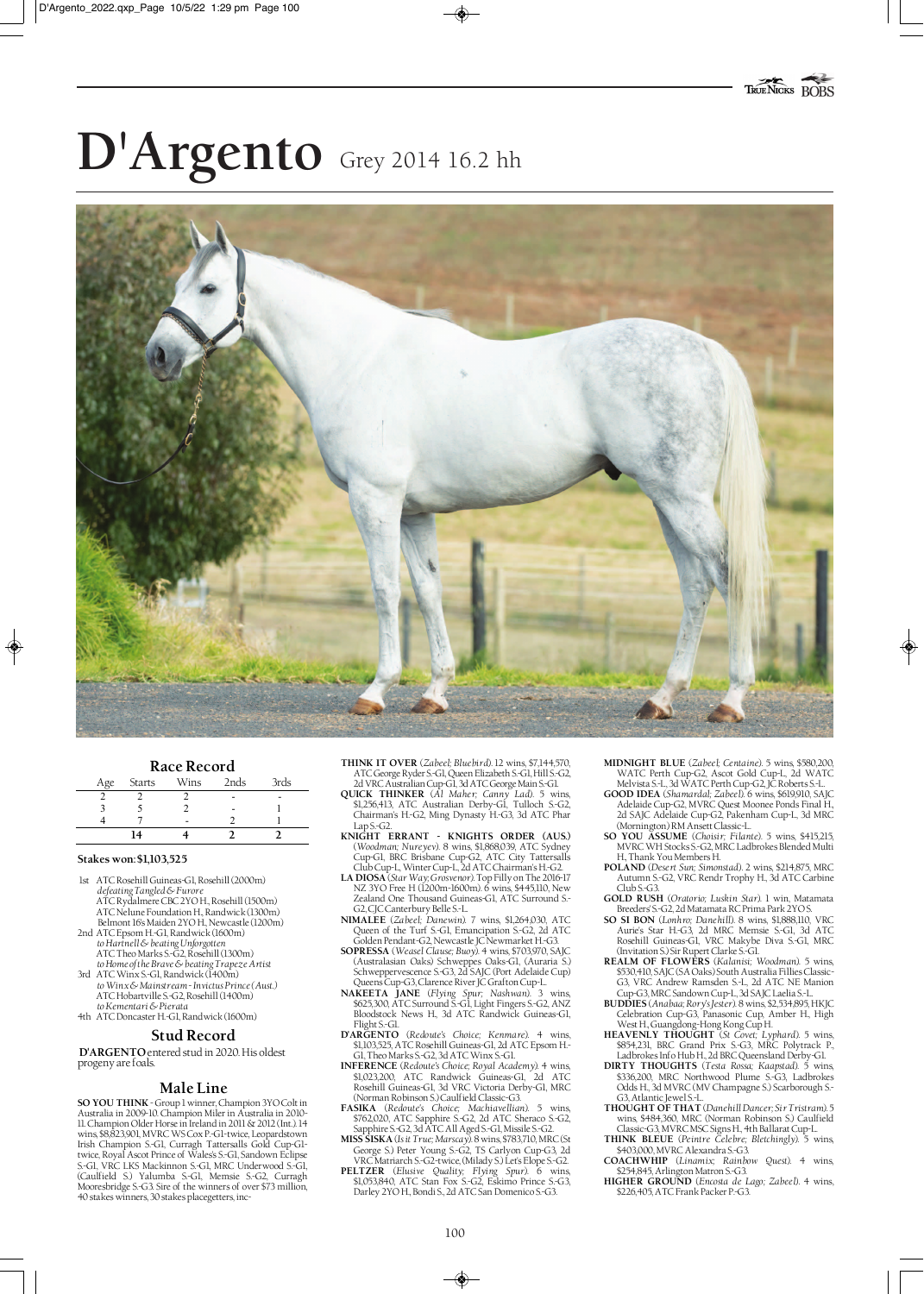# **D'Argento** Grey 2014 16.2 hh



# **Race Record** Age Starts Wins 2nds 3rds

|                | ۰ |  |
|----------------|---|--|
|                | - |  |
|                |   |  |
| $\overline{4}$ |   |  |

## **Stakes won: \$1,103,525**

- 1st ATC Rosehill Guineas-G1, Rosehill (2000m) *defeating Tangled & Furore* ATC Rydalmere CBC 2YO H., Rosehill (1500m) ATC Nelune Foundation H., Randwick (1300m)
- Belmont 16's Maiden 2YO H., Newcastle (1200m) 2nd ATC Epsom H.-G1, Randwick (1600m)
- *to Hartnell & beating Unforgotten* ATC Theo Marks S.-G2, Rosehill (1300m)
- *to Home of the Brave & beating Trapeze Artist* 3rd ATC Winx S.-G1, Randwick (1400m) *to Winx & Mainstream - Invictus Prince (Aust.)*
- ATC Hobartville S.-G2, Rosehill (1400m) *to Kementari & Pierata* 4th ATC Doncaster H.-G1, Randwick (1600m)

## **Stud Record**

**D'ARGENTO** entered stud in 2020. His oldest progeny are foals.

# **Male Line**

**SO YOU THINK**- Group 1 winner, Champion 3YO Colt in Australia in 2009-10. Champion Miler in Australia in 2010- 11. Champion Older Horse in Ireland in 2011 & 2012 (Int.). 14 wins, \$8,823,901, MVRC WS Cox P.-G1-twice, Leopardstown Irish Champion S.-G1, Curragh Tattersalls Gold Cup-G1 twice, Royal Ascot Prince of Wales's S.-G1, Sandown Eclipse S.-G1, VRC LKS Mackinnon S.-G1, MRC Underwood S.-G1, (Caulfield S.) Yalumba S.-G1, Memsie S.-G2, Curragh Mooresbridge S.-G3. Sire of the winners of over \$73 million, 40 stakes winners, 30 stakes placegetters, inc**THINK IT OVER** (*Zabeel; Bluebird*). 12 wins, \$7,144,570, ATC George Ryder S.-G1, Queen Elizabeth S.-G1, Hill S.-G2, 2d VRC Australian Cup-G1, 3d ATC George Main S.-G1. **QUICK THINKER** (*Al Maher; Canny Lad*). 5 wins,

- \$1,256,413, ATC Australian Derby-G1, Tulloch S.-G2, Chairman's H.-G2, Ming Dynasty H.-G3, 3d ATC Phar
- Lap S.-G2. **KNIGHT ERRANT KNIGHTS ORDER (AUS.)**  (*Woodman; Nureyev*). 8 wins, \$1,868,039, ATC Sydney Cup-G1, BRC Brisbane Cup-G2, ATC City Tattersalls
- Club Cup-L, Winter Cup-L, 2d ATC Chairman's H.-G2. **LA DIOSA** (*Star Way; Grosvenor*). Top Filly on The 2016-17 NZ 3YO Free H (1200m-1600m). 6 wins, \$445,110, New Zealand One Thousand Guineas-G1, ATC Surround S.- G2, CJC Canterbury Belle S.-L.
- **NIMALEE** (*Zabeel; Danewin*). 7 wins, \$1,264,030, ATC Queen of the Turf S.-G1, Emancipation S.-G2, 2d ATC Golden Pendant-G2, Newcastle JC Newmarket H.-G3.
- **SOPRESSA** (*Weasel Clause; Buoy*). 4 wins, \$703,970, SAJC (Australasian Oaks) Schweppes Oaks-G1, (Auraria S.) Schweppervescence S.-G3, 2d SAJC (Port Adelaide Cup)
- Queens Cup-G3, Clarence River JC Grafton Cup-L. **NAKEETA JANE** (*Flying Spur; Nashwan*). 3 wins, \$625,300, ATC Surround S.-G1, Light Fingers S.-G2, ANZ Bloodstock News H., 3d ATC Randwick Guineas-G1,
- Flight S.-G1. **D'ARGENTO** (*Redoute's Choice; Kenmare*). 4 wins, \$1,103,525, ATC Rosehill Guineas-G1, 2d ATC Epsom H.- G1, Theo Marks S.-G2, 3d ATC Winx S.-G1.
- **INFERENCE** (*Redoute's Choice; Royal Academy*). 4 wins, \$1,023,200, ATC Randwick Guineas-G1, 2d ATC Rosehill Guineas-G1, 3d VRC Victoria Derby-G1, MRC (Norman Robinson S.) Caulfield Classic-G3. **FASIKA** (*Redoute's Choice; Machiavellian*). 5 wins,
- \$762,020, ATC Sapphire S.-G2, 2d ATC Sheraco S.-G2, Sapphire S.-G2, 3d ATC All Aged S.-G1, Missile S.-G2.
- **MISS SISKA** (*Is it True; Marscay*). 8 wins, \$783,710, MRC (St George S.) Peter Young S.-G2, TS Carlyon Cup-G3, 2d VRC Matriarch S.-G2-twice, (Milady S.) Let's Elope S.-G2.
- **PELTZER** (*Elusive Quality; Flying Spur*). 6 wins, \$1,053,840, ATC Stan Fox S.-G2, Eskimo Prince S.-G3, Darley 2YO H., Bondi S., 2d ATC San Domenico S.-G3.
- **MIDNIGHT BLUE** (*Zabeel; Centaine*). 5 wins, \$580,200, WATC Perth Cup-G2, Ascot Gold Cup-L, 2d WATC Melvista S.-L, 3d WATC Perth Cup-G2, JC Roberts S.-L. **GOOD IDEA** (*Shamardal; Zabeel*). 6 wins, \$619,910, SAJC
- Adelaide Cup-G2, MVRC Quest Moonee Ponds Final H., 2d SAJC Adelaide Cup-G2, Pakenham Cup-L, 3d MRC (Mornington) RM Ansett Classic-L.
- **SO YOU ASSUME** (*Choisir; Filante*). 5 wins, \$415,215, MVRC WH Stocks S.-G2, MRC Ladbrokes Blended Multi H., Thank You Members H.
- **POLAND** (*Desert Sun; Simonstad*). 2 wins, \$214,875, MRC Autumn S.-G2, VRC Rendr Trophy H., 3d ATC Carbine Club S.-G3.
- **GOLD RUSH** (*Oratorio; Luskin Star*). 1 win, Matamata Breeders' S.-G2, 2d Matamata RC Prima Park 2YO S.
- **SO SI BON** (*Lonhro; Danehill*). 8 wins, \$1,888,110, VRC Aurie's Star H.-G3, 2d MRC Memsie S.-G1, 3d ATC Rosehill Guineas-G1, VRC Makybe Diva S.-G1, MRC (Invitation S.) Sir Rupert Clarke S.-Gl.<br>REALM OF FLOWERS (Kalanisi; Woodman). 5 wins,
- **REALM OF FLOWERS** (*Kalanisi; Woodman*). 5 wins, \$530,410, SAJC (SA Oaks) South Australia Fillies Classic-G3, VRC Andrew Ramsden S.-L, 2d ATC NE Manion Cup-G3, MRC Sandown Cup-L, 3d SAJC Laelia S.-L. **BUDDIES** (*Anabaa; Rory's Jester*). 8 wins, \$2,534,895, HKJC
- Celebration Cup-G3, Panasonic Cup, Amber H., High West H., Guangdong-Hong Kong Cup H. **HEAVENLY THOUGHT** (*St Covet; Lyphard*). 5 wins,
- \$854,231, BRC Grand Prix S.-G3, MRC Polytrack P.,
- Ladbrokes Info Hub H., 2d BRC Queensland Derby-G1. **DIRTY THOUGHTS** (*Testa Rossa; Kaapstad*). 5 wins, \$336,200, MRC Northwood Plume S.-G3, Ladbrokes Odds H., 3d MVRC (MV Champagne S.) Scarborough S.- G3, Atlantic Jewel S-L
- **THOUGHT OF THAT** (*Danehill Dancer; Sir Tristram*). 5 wins, \$484,360, MRC (Norman Robinson S.) Caulfield Classic-G3, MVRC MSC Signs H., 4th Ballarat Cup-L.
- **THINK BLEUE** (*Peintre Celebre; Bletchingly*). 5 wins, \$403,000, MVRC Alexandra S.-G3.
- **COACHWHIP** (*Linamix; Rainbow Quest*). 4 wins,
- \$254,845, Arlington Matron S.-G3. **HIGHER GROUND** (*Encosta de Lago; Zabeel*). 4 wins, \$226,405, ATC Frank Packer P.-G3.